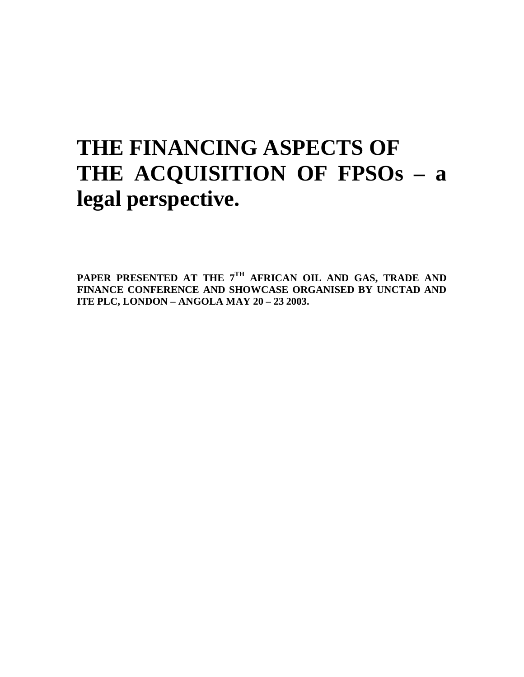# **THE FINANCING ASPECTS OF THE ACQUISITION OF FPSOs – a legal perspective.**

PAPER PRESENTED AT THE 7<sup>TH</sup> AFRICAN OIL AND GAS, TRADE AND **FINANCE CONFERENCE AND SHOWCASE ORGANISED BY UNCTAD AND ITE PLC, LONDON – ANGOLA MAY 20 – 23 2003.**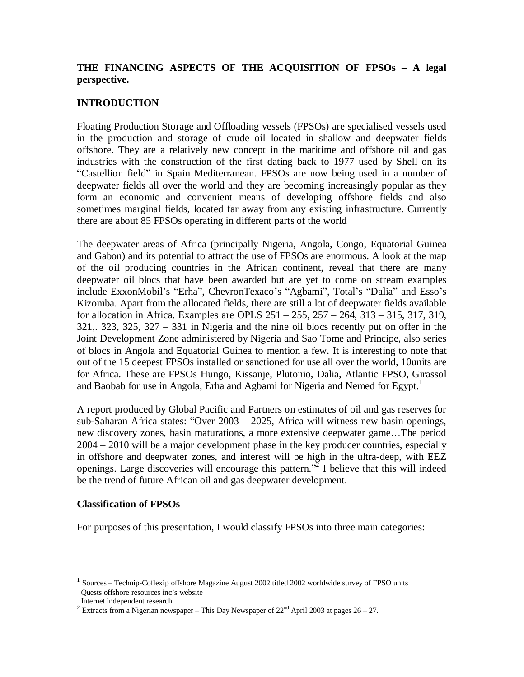#### **THE FINANCING ASPECTS OF THE ACQUISITION OF FPSOs – A legal perspective.**

#### **INTRODUCTION**

Floating Production Storage and Offloading vessels (FPSOs) are specialised vessels used in the production and storage of crude oil located in shallow and deepwater fields offshore. They are a relatively new concept in the maritime and offshore oil and gas industries with the construction of the first dating back to 1977 used by Shell on its "Castellion field" in Spain Mediterranean. FPSOs are now being used in a number of deepwater fields all over the world and they are becoming increasingly popular as they form an economic and convenient means of developing offshore fields and also sometimes marginal fields, located far away from any existing infrastructure. Currently there are about 85 FPSOs operating in different parts of the world

The deepwater areas of Africa (principally Nigeria, Angola, Congo, Equatorial Guinea and Gabon) and its potential to attract the use of FPSOs are enormous. A look at the map of the oil producing countries in the African continent, reveal that there are many deepwater oil blocs that have been awarded but are yet to come on stream examples include ExxonMobil's "Erha", ChevronTexaco's "Agbami", Total's "Dalia" and Esso's Kizomba. Apart from the allocated fields, there are still a lot of deepwater fields available for allocation in Africa. Examples are OPLS  $251 - 255$ ,  $257 - 264$ ,  $313 - 315$ ,  $317$ ,  $319$ ,  $321, 323, 325, 327 - 331$  in Nigeria and the nine oil blocs recently put on offer in the Joint Development Zone administered by Nigeria and Sao Tome and Principe, also series of blocs in Angola and Equatorial Guinea to mention a few. It is interesting to note that out of the 15 deepest FPSOs installed or sanctioned for use all over the world, 10units are for Africa. These are FPSOs Hungo, Kissanje, Plutonio, Dalia, Atlantic FPSO, Girassol and Baobab for use in Angola, Erha and Agbami for Nigeria and Nemed for Egypt.<sup>1</sup>

A report produced by Global Pacific and Partners on estimates of oil and gas reserves for sub-Saharan Africa states: "Over  $2003 - 2025$ , Africa will witness new basin openings, new discovery zones, basin maturations, a more extensive deepwater game...The period  $2004 - 2010$  will be a major development phase in the key producer countries, especially in offshore and deepwater zones, and interest will be high in the ultra-deep, with EEZ openings. Large discoveries will encourage this pattern.<sup>32</sup> I believe that this will indeed be the trend of future African oil and gas deepwater development.

#### **Classification of FPSOs**

For purposes of this presentation, I would classify FPSOs into three main categories:

<sup>1</sup> Sources - Technip-Coflexip offshore Magazine August 2002 titled 2002 worldwide survey of FPSO units Quests offshore resources inc's website

Internet independent research

<sup>&</sup>lt;sup>2</sup> Extracts from a Nigerian newspaper – This Day Newspaper of  $22<sup>nd</sup>$  April 2003 at pages 26 – 27.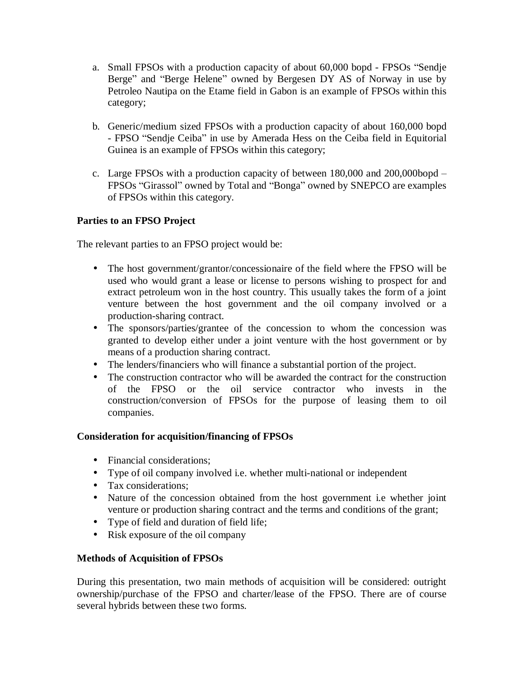- a. Small FPSOs with a production capacity of about 60,000 bopd FPSOs "Sendie" Berge" and "Berge Helene" owned by Bergesen DY AS of Norway in use by Petroleo Nautipa on the Etame field in Gabon is an example of FPSOs within this category;
- b. Generic/medium sized FPSOs with a production capacity of about 160,000 bopd - FPSO "Sendje Ceiba" in use by Amerada Hess on the Ceiba field in Equitorial Guinea is an example of FPSOs within this category;
- c. Large FPSOs with a production capacity of between  $180,000$  and  $200,000$ bopd  $-$ FPSOs "Girassol" owned by Total and "Bonga" owned by SNEPCO are examples of FPSOs within this category.

# **Parties to an FPSO Project**

The relevant parties to an FPSO project would be:

- The host government/grantor/concessionaire of the field where the FPSO will be used who would grant a lease or license to persons wishing to prospect for and extract petroleum won in the host country. This usually takes the form of a joint venture between the host government and the oil company involved or a production-sharing contract.
- The sponsors/parties/grantee of the concession to whom the concession was granted to develop either under a joint venture with the host government or by means of a production sharing contract.
- The lenders/financiers who will finance a substantial portion of the project.
- The construction contractor who will be awarded the contract for the construction of the FPSO or the oil service contractor who invests in the construction/conversion of FPSOs for the purpose of leasing them to oil companies.

# **Consideration for acquisition/financing of FPSOs**

- Financial considerations;
- Type of oil company involved i.e. whether multi-national or independent
- Tax considerations:
- Nature of the concession obtained from the host government i.e whether joint venture or production sharing contract and the terms and conditions of the grant;
- Type of field and duration of field life;
- Risk exposure of the oil company

# **Methods of Acquisition of FPSOs**

During this presentation, two main methods of acquisition will be considered: outright ownership/purchase of the FPSO and charter/lease of the FPSO. There are of course several hybrids between these two forms.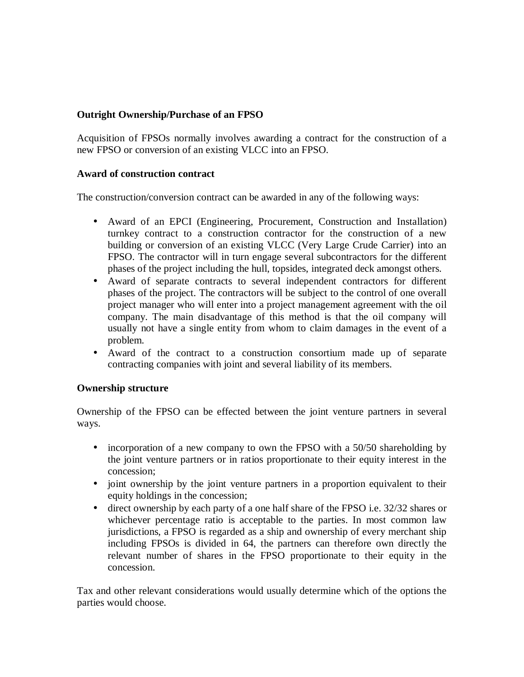#### **Outright Ownership/Purchase of an FPSO**

Acquisition of FPSOs normally involves awarding a contract for the construction of a new FPSO or conversion of an existing VLCC into an FPSO.

#### **Award of construction contract**

The construction/conversion contract can be awarded in any of the following ways:

- Award of an EPCI (Engineering, Procurement, Construction and Installation) turnkey contract to a construction contractor for the construction of a new building or conversion of an existing VLCC (Very Large Crude Carrier) into an FPSO. The contractor will in turn engage several subcontractors for the different phases of the project including the hull, topsides, integrated deck amongst others.
- Award of separate contracts to several independent contractors for different phases of the project. The contractors will be subject to the control of one overall project manager who will enter into a project management agreement with the oil company. The main disadvantage of this method is that the oil company will usually not have a single entity from whom to claim damages in the event of a problem.
- Award of the contract to a construction consortium made up of separate contracting companies with joint and several liability of its members.

# **Ownership structure**

Ownership of the FPSO can be effected between the joint venture partners in several ways.

- incorporation of a new company to own the FPSO with a 50/50 shareholding by the joint venture partners or in ratios proportionate to their equity interest in the concession;
- joint ownership by the joint venture partners in a proportion equivalent to their equity holdings in the concession;
- direct ownership by each party of a one half share of the FPSO i.e. 32/32 shares or whichever percentage ratio is acceptable to the parties. In most common law jurisdictions, a FPSO is regarded as a ship and ownership of every merchant ship including FPSOs is divided in 64, the partners can therefore own directly the relevant number of shares in the FPSO proportionate to their equity in the concession.

Tax and other relevant considerations would usually determine which of the options the parties would choose.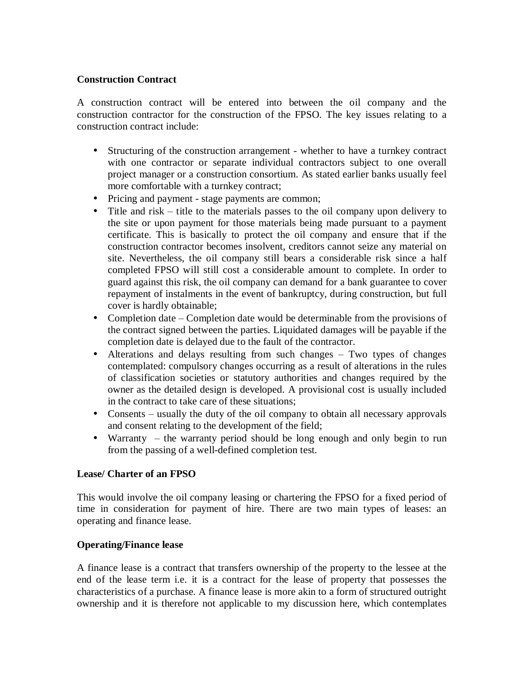#### **Construction Contract**

A construction contract will be entered into between the oil company and the construction contractor for the construction of the FPSO. The key issues relating to a construction contract include:

- Structuring of the construction arrangement whether to have a turnkey contract with one contractor or separate individual contractors subject to one overall project manager or a construction consortium. As stated earlier banks usually feel more comfortable with a turnkey contract;
- Pricing and payment stage payments are common;
- Title and risk  $-$  title to the materials passes to the oil company upon delivery to the site or upon payment for those materials being made pursuant to a payment certificate. This is basically to protect the oil company and ensure that if the construction contractor becomes insolvent, creditors cannot seize any material on site. Nevertheless, the oil company still bears a considerable risk since a half completed FPSO will still cost a considerable amount to complete. In order to guard against this risk, the oil company can demand for a bank guarantee to cover repayment of instalments in the event of bankruptcy, during construction, but full cover is hardly obtainable;
- Completion date  $-\text{Completion}$  date would be determinable from the provisions of the contract signed between the parties. Liquidated damages will be payable if the completion date is delayed due to the fault of the contractor.
- Alterations and delays resulting from such changes  $-$  Two types of changes contemplated: compulsory changes occurring as a result of alterations in the rules of classification societies or statutory authorities and changes required by the owner as the detailed design is developed. A provisional cost is usually included in the contract to take care of these situations;
- Consents  $-$  usually the duty of the oil company to obtain all necessary approvals and consent relating to the development of the field;
- Warranty  $-$  the warranty period should be long enough and only begin to run from the passing of a well-defined completion test.

#### **Lease/ Charter of an FPSO**

This would involve the oil company leasing or chartering the FPSO for a fixed period of time in consideration for payment of hire. There are two main types of leases: an operating and finance lease.

#### **Operating/Finance lease**

A finance lease is a contract that transfers ownership of the property to the lessee at the end of the lease term i.e. it is a contract for the lease of property that possesses the characteristics of a purchase. A finance lease is more akin to a form of structured outright ownership and it is therefore not applicable to my discussion here, which contemplates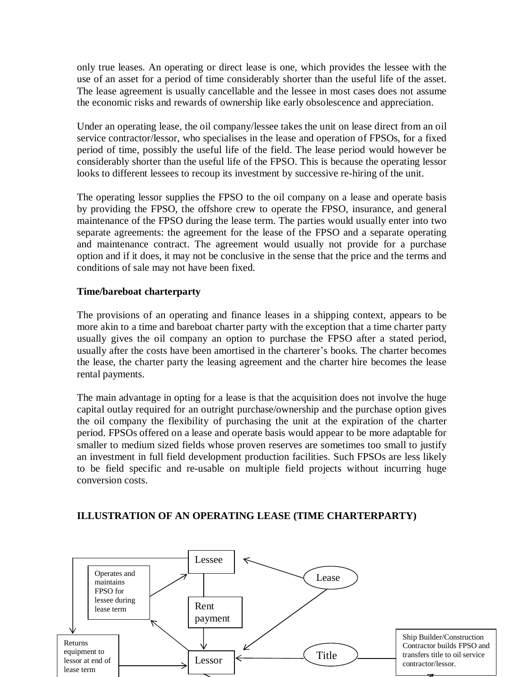only true leases. An operating or direct lease is one, which provides the lessee with the use of an asset for a period of time considerably shorter than the useful life of the asset. The lease agreement is usually cancellable and the lessee in most cases does not assume the economic risks and rewards of ownership like early obsolescence and appreciation.

Under an operating lease, the oil company/lessee takes the unit on lease direct from an oil service contractor/lessor, who specialises in the lease and operation of FPSOs, for a fixed period of time, possibly the useful life of the field. The lease period would however be considerably shorter than the useful life of the FPSO. This is because the operating lessor looks to different lessees to recoup its investment by successive re-hiring of the unit.

The operating lessor supplies the FPSO to the oil company on a lease and operate basis by providing the FPSO, the offshore crew to operate the FPSO, insurance, and general maintenance of the FPSO during the lease term. The parties would usually enter into two separate agreements: the agreement for the lease of the FPSO and a separate operating and maintenance contract. The agreement would usually not provide for a purchase option and if it does, it may not be conclusive in the sense that the price and the terms and conditions of sale may not have been fixed.

# **Time/bareboat charterparty**

The provisions of an operating and finance leases in a shipping context, appears to be more akin to a time and bareboat charter party with the exception that a time charter party usually gives the oil company an option to purchase the FPSO after a stated period, usually after the costs have been amortised in the charterer's books. The charter becomes the lease, the charter party the leasing agreement and the charter hire becomes the lease rental payments.

The main advantage in opting for a lease is that the acquisition does not involve the huge capital outlay required for an outright purchase/ownership and the purchase option gives the oil company the flexibility of purchasing the unit at the expiration of the charter period. FPSOs offered on a lease and operate basis would appear to be more adaptable for smaller to medium sized fields whose proven reserves are sometimes too small to justify an investment in full field development production facilities. Such FPSOs are less likely to be field specific and re-usable on multiple field projects without incurring huge conversion costs.

#### **ILLUSTRATION OF AN OPERATING LEASE (TIME CHARTERPARTY)**

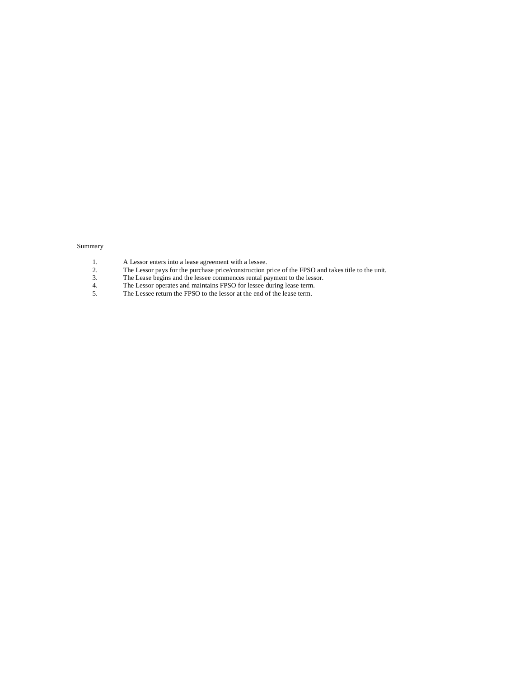#### Summary

- 1. A Lessor enters into a lease agreement with a lessee.
- 2. The Lessor pays for the purchase price/construction price of the FPSO and takes title to the unit.
- 3. The Lease begins and the lessee commences rental payment to the lessor.
- 4. The Lessor operates and maintains FPSO for lessee during lease term.
- 5. The Lessee return the FPSO to the lessor at the end of the lease term.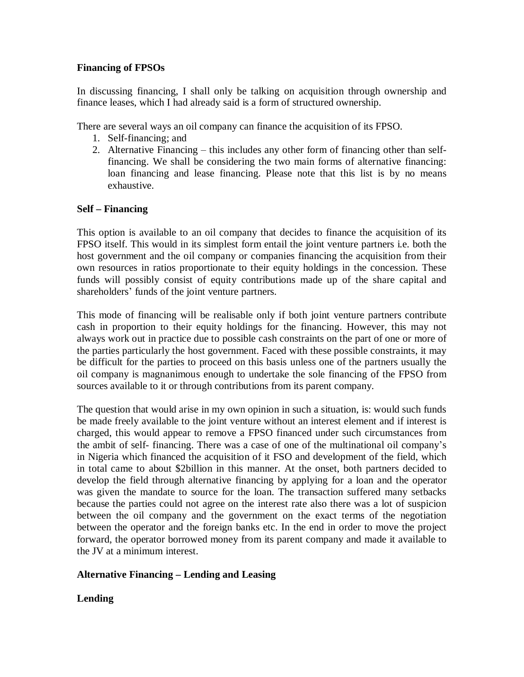#### **Financing of FPSOs**

In discussing financing, I shall only be talking on acquisition through ownership and finance leases, which I had already said is a form of structured ownership.

There are several ways an oil company can finance the acquisition of its FPSO.

- 1. Self-financing; and
- 2. Alternative Financing  $-$  this includes any other form of financing other than selffinancing. We shall be considering the two main forms of alternative financing: loan financing and lease financing. Please note that this list is by no means exhaustive.

# **Self – Financing**

This option is available to an oil company that decides to finance the acquisition of its FPSO itself. This would in its simplest form entail the joint venture partners i.e. both the host government and the oil company or companies financing the acquisition from their own resources in ratios proportionate to their equity holdings in the concession. These funds will possibly consist of equity contributions made up of the share capital and shareholders' funds of the joint venture partners.

This mode of financing will be realisable only if both joint venture partners contribute cash in proportion to their equity holdings for the financing. However, this may not always work out in practice due to possible cash constraints on the part of one or more of the parties particularly the host government. Faced with these possible constraints, it may be difficult for the parties to proceed on this basis unless one of the partners usually the oil company is magnanimous enough to undertake the sole financing of the FPSO from sources available to it or through contributions from its parent company.

The question that would arise in my own opinion in such a situation, is: would such funds be made freely available to the joint venture without an interest element and if interest is charged, this would appear to remove a FPSO financed under such circumstances from the ambit of self- financing. There was a case of one of the multinational oil company's in Nigeria which financed the acquisition of it FSO and development of the field, which in total came to about \$2billion in this manner. At the onset, both partners decided to develop the field through alternative financing by applying for a loan and the operator was given the mandate to source for the loan. The transaction suffered many setbacks because the parties could not agree on the interest rate also there was a lot of suspicion between the oil company and the government on the exact terms of the negotiation between the operator and the foreign banks etc. In the end in order to move the project forward, the operator borrowed money from its parent company and made it available to the JV at a minimum interest.

# **Alternative Financing – Lending and Leasing**

# **Lending**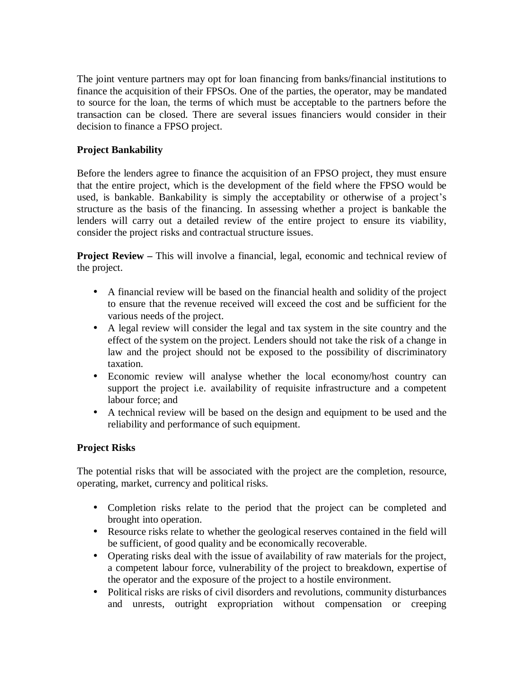The joint venture partners may opt for loan financing from banks/financial institutions to finance the acquisition of their FPSOs. One of the parties, the operator, may be mandated to source for the loan, the terms of which must be acceptable to the partners before the transaction can be closed. There are several issues financiers would consider in their decision to finance a FPSO project.

# **Project Bankability**

Before the lenders agree to finance the acquisition of an FPSO project, they must ensure that the entire project, which is the development of the field where the FPSO would be used, is bankable. Bankability is simply the acceptability or otherwise of a project's structure as the basis of the financing. In assessing whether a project is bankable the lenders will carry out a detailed review of the entire project to ensure its viability, consider the project risks and contractual structure issues.

**Project Review** – This will involve a financial, legal, economic and technical review of the project.

- A financial review will be based on the financial health and solidity of the project to ensure that the revenue received will exceed the cost and be sufficient for the various needs of the project.
- A legal review will consider the legal and tax system in the site country and the effect of the system on the project. Lenders should not take the risk of a change in law and the project should not be exposed to the possibility of discriminatory taxation.
- Economic review will analyse whether the local economy/host country can support the project i.e. availability of requisite infrastructure and a competent labour force; and
- A technical review will be based on the design and equipment to be used and the reliability and performance of such equipment.

# **Project Risks**

The potential risks that will be associated with the project are the completion, resource, operating, market, currency and political risks.

- Completion risks relate to the period that the project can be completed and brought into operation.
- Resource risks relate to whether the geological reserves contained in the field will be sufficient, of good quality and be economically recoverable.
- Operating risks deal with the issue of availability of raw materials for the project, a competent labour force, vulnerability of the project to breakdown, expertise of the operator and the exposure of the project to a hostile environment.
- Political risks are risks of civil disorders and revolutions, community disturbances and unrests, outright expropriation without compensation or creeping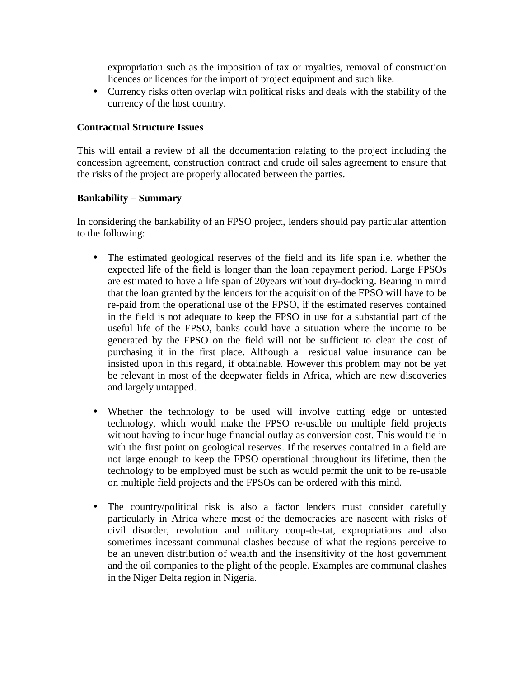expropriation such as the imposition of tax or royalties, removal of construction licences or licences for the import of project equipment and such like.

• Currency risks often overlap with political risks and deals with the stability of the currency of the host country.

#### **Contractual Structure Issues**

This will entail a review of all the documentation relating to the project including the concession agreement, construction contract and crude oil sales agreement to ensure that the risks of the project are properly allocated between the parties.

#### **Bankability – Summary**

In considering the bankability of an FPSO project, lenders should pay particular attention to the following:

- The estimated geological reserves of the field and its life span i.e. whether the expected life of the field is longer than the loan repayment period. Large FPSOs are estimated to have a life span of 20years without dry-docking. Bearing in mind that the loan granted by the lenders for the acquisition of the FPSO will have to be re-paid from the operational use of the FPSO, if the estimated reserves contained in the field is not adequate to keep the FPSO in use for a substantial part of the useful life of the FPSO, banks could have a situation where the income to be generated by the FPSO on the field will not be sufficient to clear the cost of purchasing it in the first place. Although a residual value insurance can be insisted upon in this regard, if obtainable. However this problem may not be yet be relevant in most of the deepwater fields in Africa, which are new discoveries and largely untapped.
- Whether the technology to be used will involve cutting edge or untested technology, which would make the FPSO re-usable on multiple field projects without having to incur huge financial outlay as conversion cost. This would tie in with the first point on geological reserves. If the reserves contained in a field are not large enough to keep the FPSO operational throughout its lifetime, then the technology to be employed must be such as would permit the unit to be re-usable on multiple field projects and the FPSOs can be ordered with this mind.
- The country/political risk is also a factor lenders must consider carefully particularly in Africa where most of the democracies are nascent with risks of civil disorder, revolution and military coup-de-tat, expropriations and also sometimes incessant communal clashes because of what the regions perceive to be an uneven distribution of wealth and the insensitivity of the host government and the oil companies to the plight of the people. Examples are communal clashes in the Niger Delta region in Nigeria.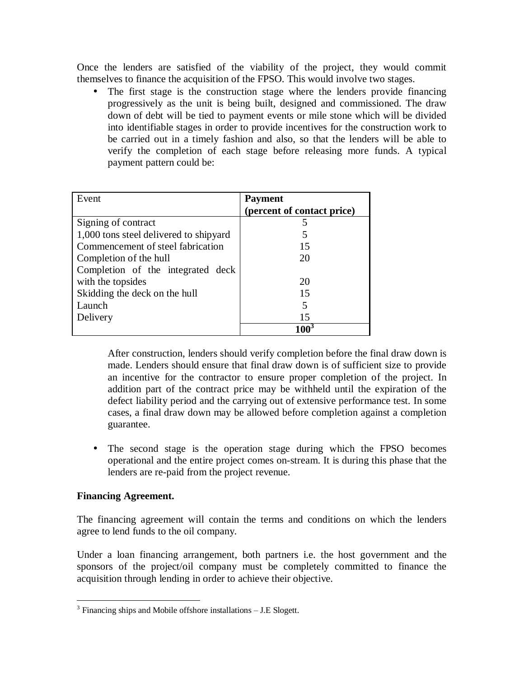Once the lenders are satisfied of the viability of the project, they would commit themselves to finance the acquisition of the FPSO. This would involve two stages.

• The first stage is the construction stage where the lenders provide financing progressively as the unit is being built, designed and commissioned. The draw down of debt will be tied to payment events or mile stone which will be divided into identifiable stages in order to provide incentives for the construction work to be carried out in a timely fashion and also, so that the lenders will be able to verify the completion of each stage before releasing more funds. A typical payment pattern could be:

| Event                                  | <b>Payment</b>             |
|----------------------------------------|----------------------------|
|                                        | (percent of contact price) |
| Signing of contract                    |                            |
| 1,000 tons steel delivered to shipyard |                            |
| Commencement of steel fabrication      | 15                         |
| Completion of the hull                 | 20                         |
| Completion of the integrated deck      |                            |
| with the topsides                      | 20                         |
| Skidding the deck on the hull          | 15                         |
| Launch                                 |                            |
| Delivery                               | 15                         |
|                                        |                            |

After construction, lenders should verify completion before the final draw down is made. Lenders should ensure that final draw down is of sufficient size to provide an incentive for the contractor to ensure proper completion of the project. In addition part of the contract price may be withheld until the expiration of the defect liability period and the carrying out of extensive performance test. In some cases, a final draw down may be allowed before completion against a completion guarantee.

• The second stage is the operation stage during which the FPSO becomes operational and the entire project comes on-stream. It is during this phase that the lenders are re-paid from the project revenue.

#### **Financing Agreement.**

The financing agreement will contain the terms and conditions on which the lenders agree to lend funds to the oil company.

Under a loan financing arrangement, both partners i.e. the host government and the sponsors of the project/oil company must be completely committed to finance the acquisition through lending in order to achieve their objective.

 $3$  Financing ships and Mobile offshore installations  $-$  J.E Slogett.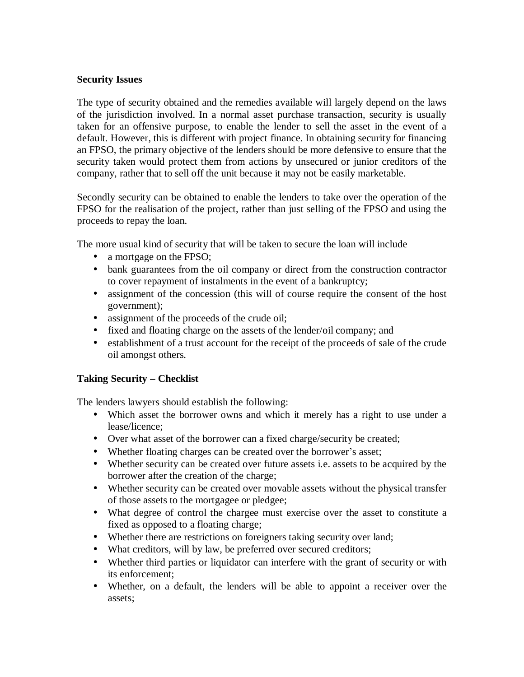#### **Security Issues**

The type of security obtained and the remedies available will largely depend on the laws of the jurisdiction involved. In a normal asset purchase transaction, security is usually taken for an offensive purpose, to enable the lender to sell the asset in the event of a default. However, this is different with project finance. In obtaining security for financing an FPSO, the primary objective of the lenders should be more defensive to ensure that the security taken would protect them from actions by unsecured or junior creditors of the company, rather that to sell off the unit because it may not be easily marketable.

Secondly security can be obtained to enable the lenders to take over the operation of the FPSO for the realisation of the project, rather than just selling of the FPSO and using the proceeds to repay the loan.

The more usual kind of security that will be taken to secure the loan will include

- a mortgage on the FPSO;
- bank guarantees from the oil company or direct from the construction contractor to cover repayment of instalments in the event of a bankruptcy;
- assignment of the concession (this will of course require the consent of the host government);
- assignment of the proceeds of the crude oil;
- fixed and floating charge on the assets of the lender/oil company; and
- establishment of a trust account for the receipt of the proceeds of sale of the crude oil amongst others.

# **Taking Security – Checklist**

The lenders lawyers should establish the following:

- Which asset the borrower owns and which it merely has a right to use under a lease/licence;
- Over what asset of the borrower can a fixed charge/security be created;
- Whether floating charges can be created over the borrower's asset;
- Whether security can be created over future assets i.e. assets to be acquired by the borrower after the creation of the charge;
- Whether security can be created over movable assets without the physical transfer of those assets to the mortgagee or pledgee;
- What degree of control the chargee must exercise over the asset to constitute a fixed as opposed to a floating charge;
- Whether there are restrictions on foreigners taking security over land;
- What creditors, will by law, be preferred over secured creditors;
- Whether third parties or liquidator can interfere with the grant of security or with its enforcement;
- Whether, on a default, the lenders will be able to appoint a receiver over the assets;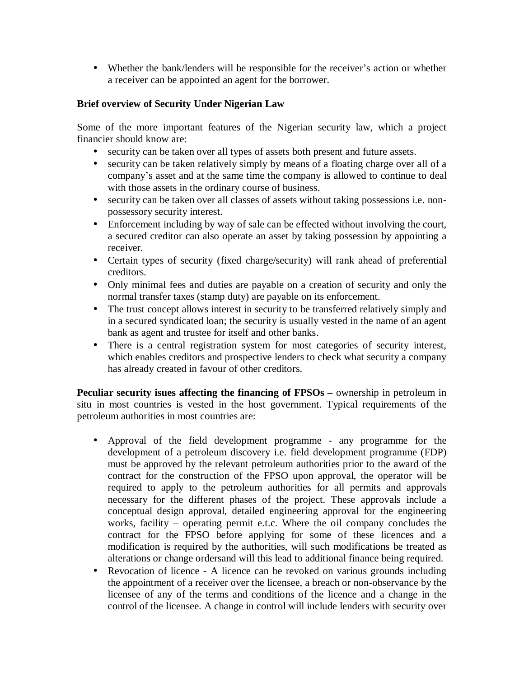• Whether the bank/lenders will be responsible for the receiver's action or whether a receiver can be appointed an agent for the borrower.

#### **Brief overview of Security Under Nigerian Law**

Some of the more important features of the Nigerian security law, which a project financier should know are:

- security can be taken over all types of assets both present and future assets.
- security can be taken relatively simply by means of a floating charge over all of a company's asset and at the same time the company is allowed to continue to deal with those assets in the ordinary course of business.
- security can be taken over all classes of assets without taking possessions i.e. nonpossessory security interest.
- Enforcement including by way of sale can be effected without involving the court, a secured creditor can also operate an asset by taking possession by appointing a receiver.
- Certain types of security (fixed charge/security) will rank ahead of preferential creditors.
- Only minimal fees and duties are payable on a creation of security and only the normal transfer taxes (stamp duty) are payable on its enforcement.
- The trust concept allows interest in security to be transferred relatively simply and in a secured syndicated loan; the security is usually vested in the name of an agent bank as agent and trustee for itself and other banks.
- There is a central registration system for most categories of security interest, which enables creditors and prospective lenders to check what security a company has already created in favour of other creditors.

**Peculiar security isues affecting the financing of FPSOs –** ownership in petroleum in situ in most countries is vested in the host government. Typical requirements of the petroleum authorities in most countries are:

- Approval of the field development programme any programme for the development of a petroleum discovery i.e. field development programme (FDP) must be approved by the relevant petroleum authorities prior to the award of the contract for the construction of the FPSO upon approval, the operator will be required to apply to the petroleum authorities for all permits and approvals necessary for the different phases of the project. These approvals include a conceptual design approval, detailed engineering approval for the engineering works, facility  $-$  operating permit e.t.c. Where the oil company concludes the contract for the FPSO before applying for some of these licences and a modification is required by the authorities, will such modifications be treated as alterations or change ordersand will this lead to additional finance being required.
- Revocation of licence A licence can be revoked on various grounds including the appointment of a receiver over the licensee, a breach or non-observance by the licensee of any of the terms and conditions of the licence and a change in the control of the licensee. A change in control will include lenders with security over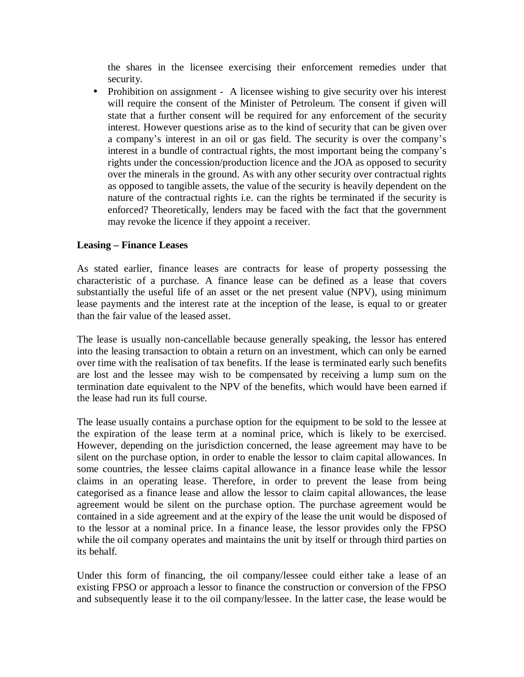the shares in the licensee exercising their enforcement remedies under that security.

• Prohibition on assignment - A licensee wishing to give security over his interest will require the consent of the Minister of Petroleum. The consent if given will state that a further consent will be required for any enforcement of the security interest. However questions arise as to the kind of security that can be given over a company's interest in an oil or gas field. The security is over the company's interest in a bundle of contractual rights, the most important being the company's rights under the concession/production licence and the JOA as opposed to security over the minerals in the ground. As with any other security over contractual rights as opposed to tangible assets, the value of the security is heavily dependent on the nature of the contractual rights i.e. can the rights be terminated if the security is enforced? Theoretically, lenders may be faced with the fact that the government may revoke the licence if they appoint a receiver.

#### **Leasing – Finance Leases**

As stated earlier, finance leases are contracts for lease of property possessing the characteristic of a purchase. A finance lease can be defined as a lease that covers substantially the useful life of an asset or the net present value (NPV), using minimum lease payments and the interest rate at the inception of the lease, is equal to or greater than the fair value of the leased asset.

The lease is usually non-cancellable because generally speaking, the lessor has entered into the leasing transaction to obtain a return on an investment, which can only be earned over time with the realisation of tax benefits. If the lease is terminated early such benefits are lost and the lessee may wish to be compensated by receiving a lump sum on the termination date equivalent to the NPV of the benefits, which would have been earned if the lease had run its full course.

The lease usually contains a purchase option for the equipment to be sold to the lessee at the expiration of the lease term at a nominal price, which is likely to be exercised. However, depending on the jurisdiction concerned, the lease agreement may have to be silent on the purchase option, in order to enable the lessor to claim capital allowances. In some countries, the lessee claims capital allowance in a finance lease while the lessor claims in an operating lease. Therefore, in order to prevent the lease from being categorised as a finance lease and allow the lessor to claim capital allowances, the lease agreement would be silent on the purchase option. The purchase agreement would be contained in a side agreement and at the expiry of the lease the unit would be disposed of to the lessor at a nominal price. In a finance lease, the lessor provides only the FPSO while the oil company operates and maintains the unit by itself or through third parties on its behalf.

Under this form of financing, the oil company/lessee could either take a lease of an existing FPSO or approach a lessor to finance the construction or conversion of the FPSO and subsequently lease it to the oil company/lessee. In the latter case, the lease would be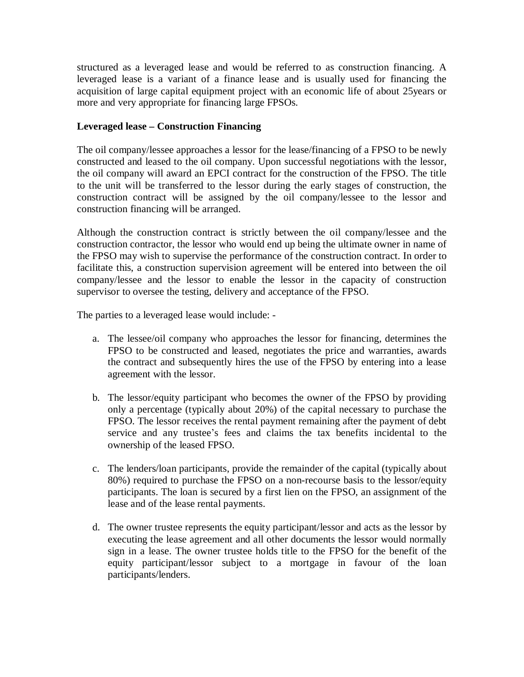structured as a leveraged lease and would be referred to as construction financing. A leveraged lease is a variant of a finance lease and is usually used for financing the acquisition of large capital equipment project with an economic life of about 25years or more and very appropriate for financing large FPSOs.

#### **Leveraged lease – Construction Financing**

The oil company/lessee approaches a lessor for the lease/financing of a FPSO to be newly constructed and leased to the oil company. Upon successful negotiations with the lessor, the oil company will award an EPCI contract for the construction of the FPSO. The title to the unit will be transferred to the lessor during the early stages of construction, the construction contract will be assigned by the oil company/lessee to the lessor and construction financing will be arranged.

Although the construction contract is strictly between the oil company/lessee and the construction contractor, the lessor who would end up being the ultimate owner in name of the FPSO may wish to supervise the performance of the construction contract. In order to facilitate this, a construction supervision agreement will be entered into between the oil company/lessee and the lessor to enable the lessor in the capacity of construction supervisor to oversee the testing, delivery and acceptance of the FPSO.

The parties to a leveraged lease would include: -

- a. The lessee/oil company who approaches the lessor for financing, determines the FPSO to be constructed and leased, negotiates the price and warranties, awards the contract and subsequently hires the use of the FPSO by entering into a lease agreement with the lessor.
- b. The lessor/equity participant who becomes the owner of the FPSO by providing only a percentage (typically about 20%) of the capital necessary to purchase the FPSO. The lessor receives the rental payment remaining after the payment of debt service and any trustee's fees and claims the tax benefits incidental to the ownership of the leased FPSO.
- c. The lenders/loan participants, provide the remainder of the capital (typically about 80%) required to purchase the FPSO on a non-recourse basis to the lessor/equity participants. The loan is secured by a first lien on the FPSO, an assignment of the lease and of the lease rental payments.
- d. The owner trustee represents the equity participant/lessor and acts as the lessor by executing the lease agreement and all other documents the lessor would normally sign in a lease. The owner trustee holds title to the FPSO for the benefit of the equity participant/lessor subject to a mortgage in favour of the loan participants/lenders.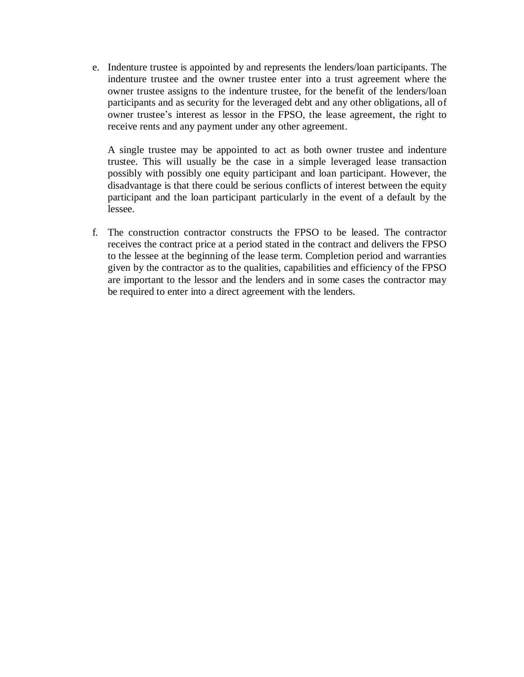e. Indenture trustee is appointed by and represents the lenders/loan participants. The indenture trustee and the owner trustee enter into a trust agreement where the owner trustee assigns to the indenture trustee, for the benefit of the lenders/loan participants and as security for the leveraged debt and any other obligations, all of owner trustee's interest as lessor in the FPSO, the lease agreement, the right to receive rents and any payment under any other agreement.

A single trustee may be appointed to act as both owner trustee and indenture trustee. This will usually be the case in a simple leveraged lease transaction possibly with possibly one equity participant and loan participant. However, the disadvantage is that there could be serious conflicts of interest between the equity participant and the loan participant particularly in the event of a default by the lessee.

f. The construction contractor constructs the FPSO to be leased. The contractor receives the contract price at a period stated in the contract and delivers the FPSO to the lessee at the beginning of the lease term. Completion period and warranties given by the contractor as to the qualities, capabilities and efficiency of the FPSO are important to the lessor and the lenders and in some cases the contractor may be required to enter into a direct agreement with the lenders.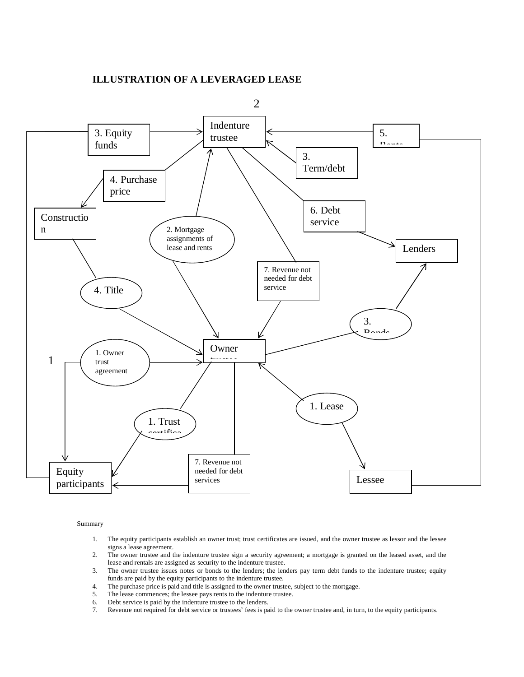#### **ILLUSTRATION OF A LEVERAGED LEASE**



#### Summary

- 1. The equity participants establish an owner trust; trust certificates are issued, and the owner trustee as lessor and the lessee signs a lease agreement.
- 2. The owner trustee and the indenture trustee sign a security agreement; a mortgage is granted on the leased asset, and the lease and rentals are assigned as security to the indenture trustee.
- 3. The owner trustee issues notes or bonds to the lenders; the lenders pay term debt funds to the indenture trustee; equity funds are paid by the equity participants to the indenture trustee.
- 4. The purchase price is paid and title is assigned to the owner trustee, subject to the mortgage.
- 5. The lease commences; the lessee pays rents to the indenture trustee.
- 6. Debt service is paid by the indenture trustee to the lenders.
- 7. Revenue not required for debt service or trustees' fees is paid to the owner trustee and, in turn, to the equity participants.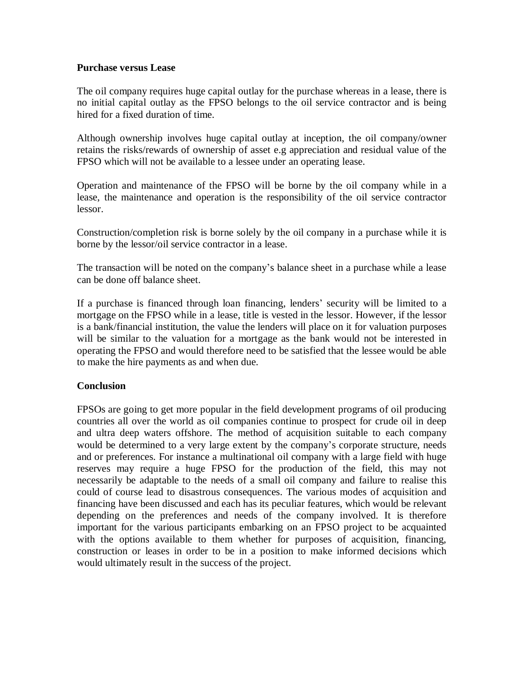#### **Purchase versus Lease**

The oil company requires huge capital outlay for the purchase whereas in a lease, there is no initial capital outlay as the FPSO belongs to the oil service contractor and is being hired for a fixed duration of time.

Although ownership involves huge capital outlay at inception, the oil company/owner retains the risks/rewards of ownership of asset e.g appreciation and residual value of the FPSO which will not be available to a lessee under an operating lease.

Operation and maintenance of the FPSO will be borne by the oil company while in a lease, the maintenance and operation is the responsibility of the oil service contractor lessor.

Construction/completion risk is borne solely by the oil company in a purchase while it is borne by the lessor/oil service contractor in a lease.

The transaction will be noted on the company's balance sheet in a purchase while a lease can be done off balance sheet.

If a purchase is financed through loan financing, lenders' security will be limited to a mortgage on the FPSO while in a lease, title is vested in the lessor. However, if the lessor is a bank/financial institution, the value the lenders will place on it for valuation purposes will be similar to the valuation for a mortgage as the bank would not be interested in operating the FPSO and would therefore need to be satisfied that the lessee would be able to make the hire payments as and when due.

#### **Conclusion**

FPSOs are going to get more popular in the field development programs of oil producing countries all over the world as oil companies continue to prospect for crude oil in deep and ultra deep waters offshore. The method of acquisition suitable to each company would be determined to a very large extent by the company's corporate structure, needs and or preferences. For instance a multinational oil company with a large field with huge reserves may require a huge FPSO for the production of the field, this may not necessarily be adaptable to the needs of a small oil company and failure to realise this could of course lead to disastrous consequences. The various modes of acquisition and financing have been discussed and each has its peculiar features, which would be relevant depending on the preferences and needs of the company involved. It is therefore important for the various participants embarking on an FPSO project to be acquainted with the options available to them whether for purposes of acquisition, financing, construction or leases in order to be in a position to make informed decisions which would ultimately result in the success of the project.